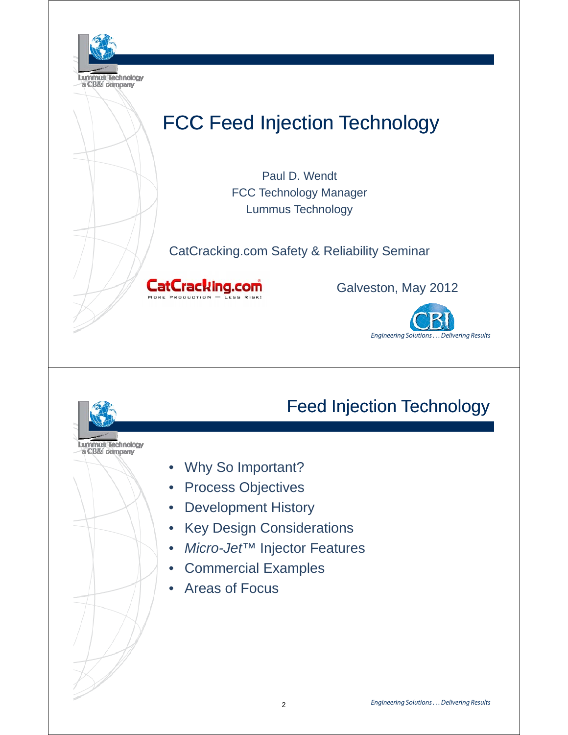

# Feed Injection Technology

• Why So Important?

Lummus Technology

- **Process Objectives**
- Development History
- Key Design Considerations
- *Micro-Jet™* Injector Features
- Commercial Examples
- Areas of Focus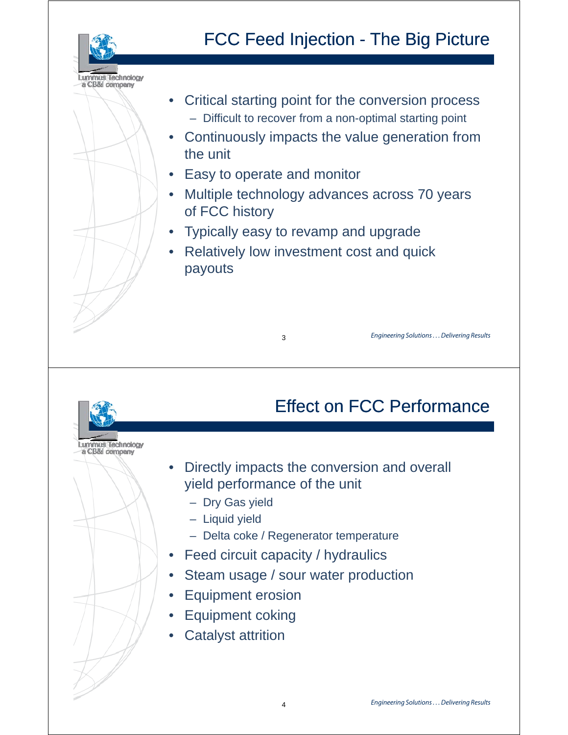

# FCC Feed Injection - The Big Picture

- Critical starting point for the conversion process – Difficult to recover from a non-optimal starting point
- Continuously impacts the value generation from the unit
- **Easy to operate and monitor**

 $\overline{\phantom{a}}$  3

- Multiple technology advances across 70 years of FCC history
- Typically easy to revamp and upgrade
- Relatively low investment cost and quick payouts

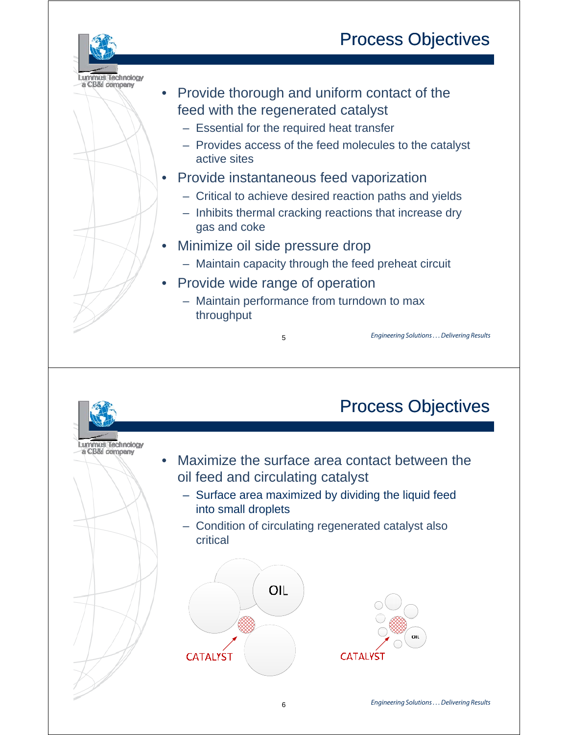# Process Objectives



– Essential for the required heat transfer

Lummus Technology a CB&I company

- Provides access of the feed molecules to the catalyst active sites
- Provide instantaneous feed vaporization
	- Critical to achieve desired reaction paths and yields
	- Inhibits thermal cracking reactions that increase dry gas and coke
- Minimize oil side pressure drop
	- Maintain capacity through the feed preheat circuit
- Provide wide range of operation
	- $-$  Maintain performance from turndown to max throughput

5

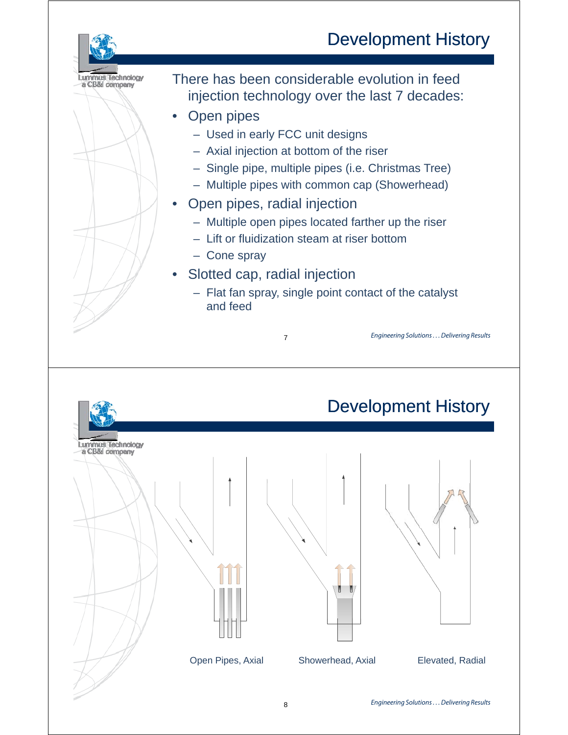## Development History

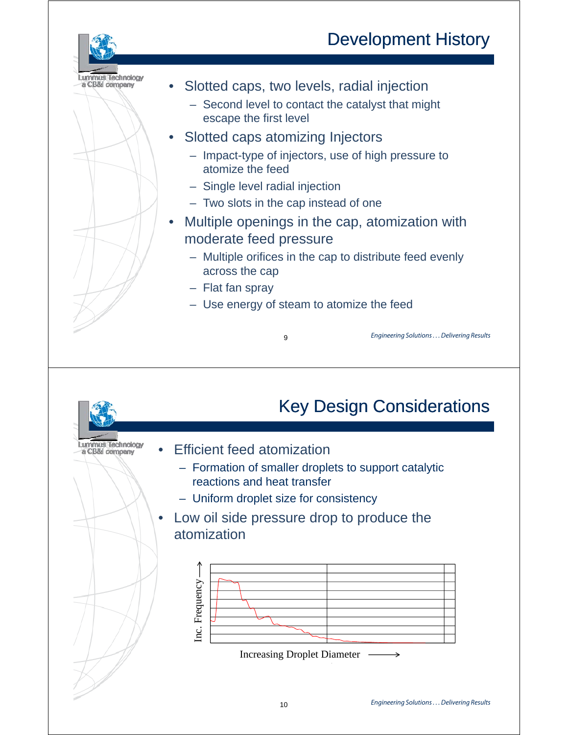# Development History



- Slotted caps, two levels, radial injection
	- Second level to contact the catalyst that might escape the first level
- Slotted caps atomizing Injectors
	- Impact-type of injectors, use of high pressure to atomize the feed
	- Single level radial injection
	- $-$  Two slots in the cap instead of one
- Multiple openings in the cap, atomization with moderate feed pressure
	- Multiple orifices in the cap to distribute feed evenly across the cap
	- Flat fan spray
	- Use energy of steam to atomize the feed

9

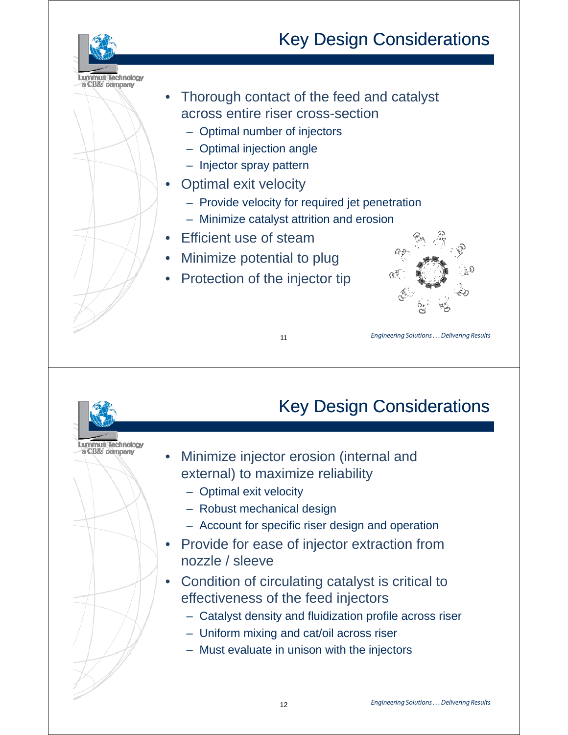# Key Design Considerations



- Thorough contact of the feed and catalyst across entire riser cross-section
	- Optimal number of injectors
	- Optimal injection angle
	- $-$  Injector spray pattern
- Optimal exit velocity
	- $-$  Provide velocity for required jet penetration
	- Minimize catalyst attrition and erosion
- **Efficient use of steam**

 $\sim$  11  $\sim$  11  $\sim$  11  $\sim$  11

- Minimize potential to plug
- Protection of the injector tip



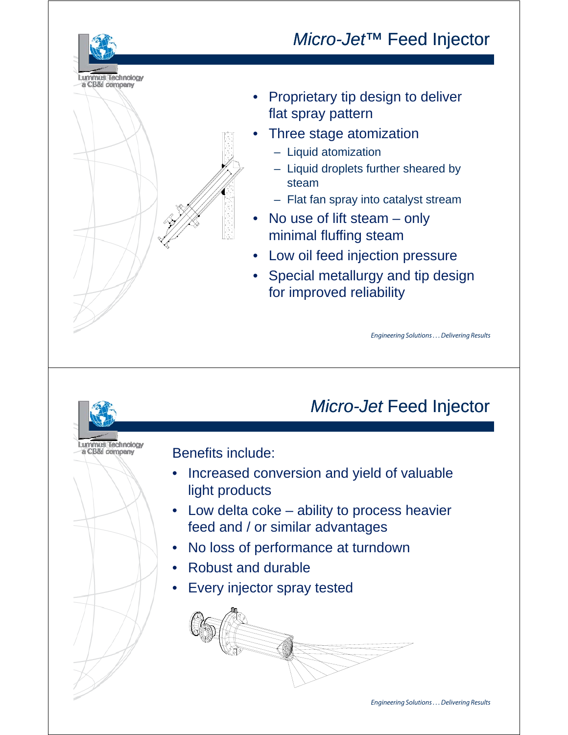## *Micro-Jet™* Feed Injector



- Three stage atomization
	- Liquid atomization

Lummus Technology<br>a CB&l company

- Liquid droplets further sheared by steam
- Flat fan spray into catalyst stream
- No use of lift steam only minimal fluffing steam
- Low oil feed injection pressure
- Special metallurgy and tip design for improved reliability for improved

Engineering Solutions . . . Delivering Results

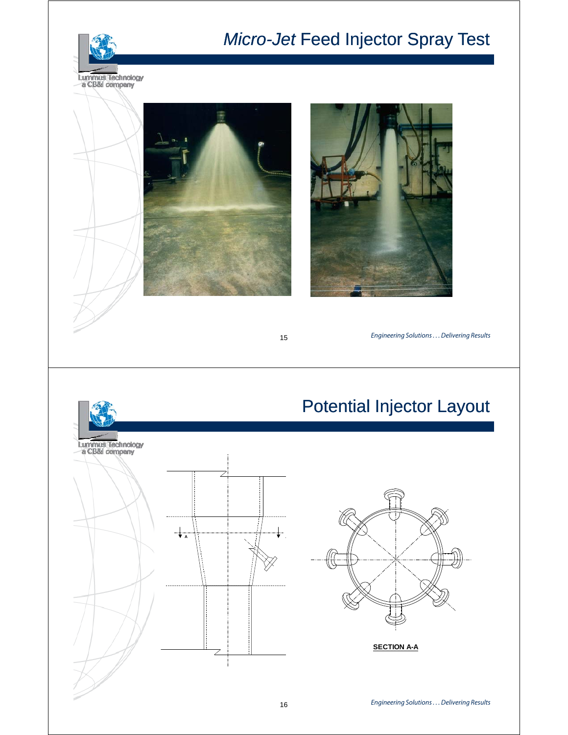

# *Micro-Jet* Feed Injector Spray Test



Maximize Olefins - 15 15





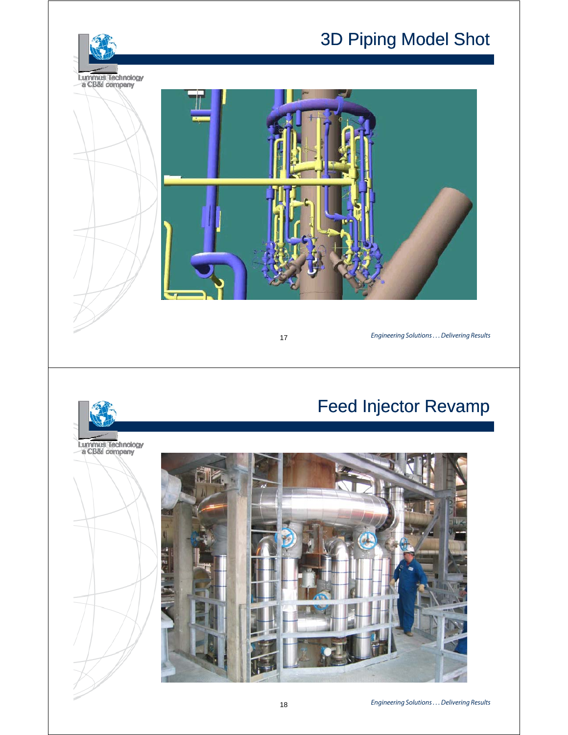# 3D Piping Model Shot



 $\overline{17}$ 

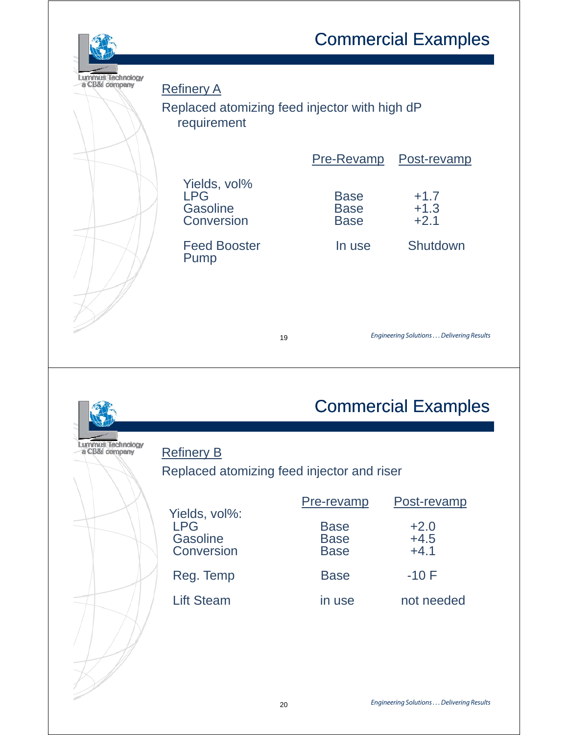# Commercial Examples



| !ul company | <b>Refinery A</b>                                    |    |                                           |                                          |  |
|-------------|------------------------------------------------------|----|-------------------------------------------|------------------------------------------|--|
|             | Replaced atomizing feed injector with high dP        |    |                                           |                                          |  |
|             | requirement                                          |    |                                           |                                          |  |
|             |                                                      |    |                                           |                                          |  |
|             |                                                      |    | Pre-Revamp                                | Post-revamp                              |  |
|             | Yields, vol%<br><b>LPG</b><br>Gasoline<br>Conversion |    | <b>Base</b><br><b>Base</b><br><b>Base</b> | $+1.7$<br>$+1.3$<br>$+2.1$               |  |
|             | <b>Feed Booster</b><br>Pump                          |    | In use                                    | Shutdown                                 |  |
|             |                                                      | 19 |                                           | Engineering Solutions Delivering Results |  |

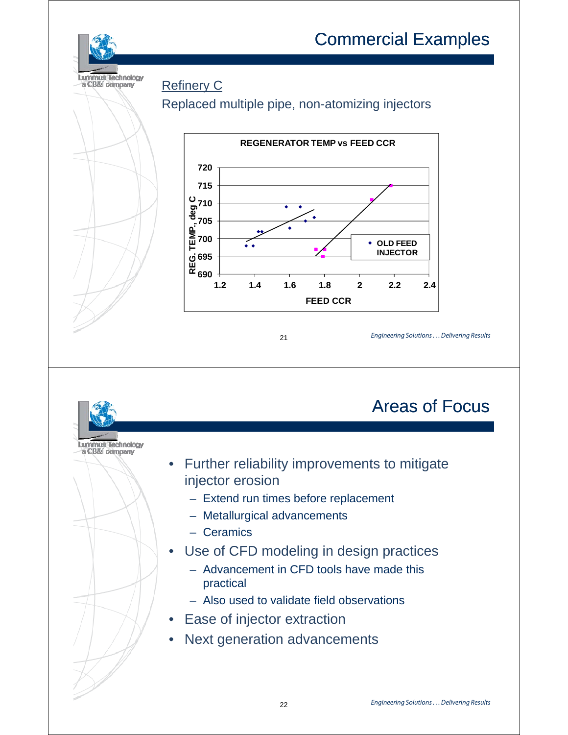## Commercial Examples



#### Refinery C

### Replaced multiple pipe, non-atomizing injectors



#### $\sim$  21